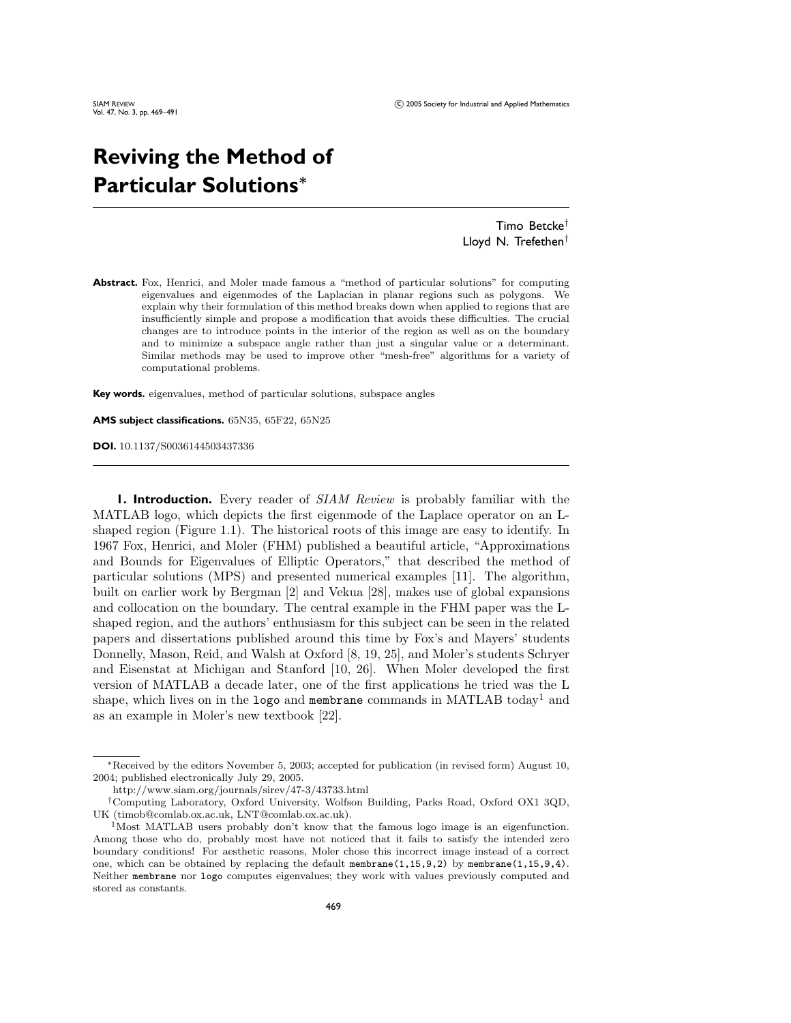# **Reviving the Method of Particular Solutions***<sup>∗</sup>*

Timo Betcke† Lloyd N. Trefethen†

**Abstract.** Fox, Henrici, and Moler made famous a "method of particular solutions" for computing eigenvalues and eigenmodes of the Laplacian in planar regions such as polygons. We explain why their formulation of this method breaks down when applied to regions that are insufficiently simple and propose a modification that avoids these difficulties. The crucial changes are to introduce points in the interior of the region as well as on the boundary and to minimize a subspace angle rather than just a singular value or a determinant. Similar methods may be used to improve other "mesh-free" algorithms for a variety of computational problems.

**Key words.** eigenvalues, method of particular solutions, subspace angles

**AMS subject classifications.** 65N35, 65F22, 65N25

**DOI.** 10.1137/S0036144503437336

**1. Introduction.** Every reader of SIAM Review is probably familiar with the MATLAB logo, which depicts the first eigenmode of the Laplace operator on an Lshaped region (Figure 1.1). The historical roots of this image are easy to identify. In 1967 Fox, Henrici, and Moler (FHM) published a beautiful article, "Approximations and Bounds for Eigenvalues of Elliptic Operators," that described the method of particular solutions (MPS) and presented numerical examples [11]. The algorithm, built on earlier work by Bergman [2] and Vekua [28], makes use of global expansions and collocation on the boundary. The central example in the FHM paper was the Lshaped region, and the authors' enthusiasm for this subject can be seen in the related papers and dissertations published around this time by Fox's and Mayers' students Donnelly, Mason, Reid, and Walsh at Oxford [8, 19, 25], and Moler's students Schryer and Eisenstat at Michigan and Stanford [10, 26]. When Moler developed the first version of MATLAB a decade later, one of the first applications he tried was the L shape, which lives on in the logo and membrane commands in MATLAB today<sup>1</sup> and as an example in Moler's new textbook [22].

<sup>∗</sup>Received by the editors November 5, 2003; accepted for publication (in revised form) August 10, 2004; published electronically July 29, 2005.

http://www.siam.org/journals/sirev/47-3/43733.html

<sup>†</sup>Computing Laboratory, Oxford University, Wolfson Building, Parks Road, Oxford OX1 3QD, UK (timob@comlab.ox.ac.uk, LNT@comlab.ox.ac.uk).

<sup>&</sup>lt;sup>1</sup>Most MATLAB users probably don't know that the famous logo image is an eigenfunction. Among those who do, probably most have not noticed that it fails to satisfy the intended zero boundary conditions! For aesthetic reasons, Moler chose this incorrect image instead of a correct one, which can be obtained by replacing the default membrane(1,15,9,2) by membrane(1,15,9,4). Neither membrane nor logo computes eigenvalues; they work with values previously computed and stored as constants.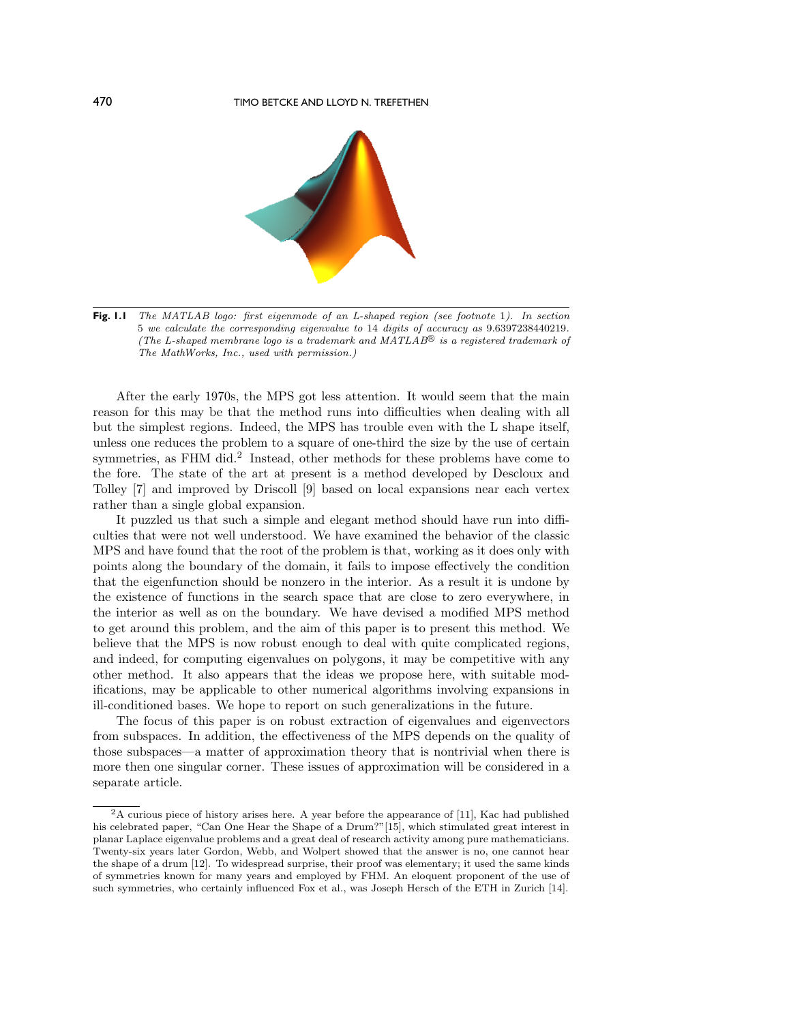

**Fig. 1.1** The MATLAB logo: first eigenmode of an L-shaped region (see footnote 1). In section 5 we calculate the corresponding eigenvalue to 14 digits of accuracyas 9.6397238440219. (The L-shaped membrane logo is a trademark and MATLAB<sup>®</sup> is a registered trademark of The MathWorks, Inc., used with permission.)

After the early 1970s, the MPS got less attention. It would seem that the main reason for this may be that the method runs into difficulties when dealing with all but the simplest regions. Indeed, the MPS has trouble even with the L shape itself, unless one reduces the problem to a square of one-third the size by the use of certain symmetries, as  $FHM$  did.<sup>2</sup> Instead, other methods for these problems have come to the fore. The state of the art at present is a method developed by Descloux and Tolley [7] and improved by Driscoll [9] based on local expansions near each vertex rather than a single global expansion.

It puzzled us that such a simple and elegant method should have run into difficulties that were not well understood. We have examined the behavior of the classic MPS and have found that the root of the problem is that, working as it does only with points along the boundary of the domain, it fails to impose effectively the condition that the eigenfunction should be nonzero in the interior. As a result it is undone by the existence of functions in the search space that are close to zero everywhere, in the interior as well as on the boundary. We have devised a modified MPS method to get around this problem, and the aim of this paper is to present this method. We believe that the MPS is now robust enough to deal with quite complicated regions, and indeed, for computing eigenvalues on polygons, it may be competitive with any other method. It also appears that the ideas we propose here, with suitable modifications, may be applicable to other numerical algorithms involving expansions in ill-conditioned bases. We hope to report on such generalizations in the future.

The focus of this paper is on robust extraction of eigenvalues and eigenvectors from subspaces. In addition, the effectiveness of the MPS depends on the quality of those subspaces—a matter of approximation theory that is nontrivial when there is more then one singular corner. These issues of approximation will be considered in a separate article.

<sup>&</sup>lt;sup>2</sup>A curious piece of history arises here. A year before the appearance of [11], Kac had published his celebrated paper, "Can One Hear the Shape of a Drum?"[15], which stimulated great interest in planar Laplace eigenvalue problems and a great deal of research activity among pure mathematicians. Twenty-six years later Gordon, Webb, and Wolpert showed that the answer is no, one cannot hear the shape of a drum [12]. To widespread surprise, their proof was elementary; it used the same kinds of symmetries known for many years and employed by FHM. An eloquent proponent of the use of such symmetries, who certainly influenced Fox et al., was Joseph Hersch of the ETH in Zurich [14].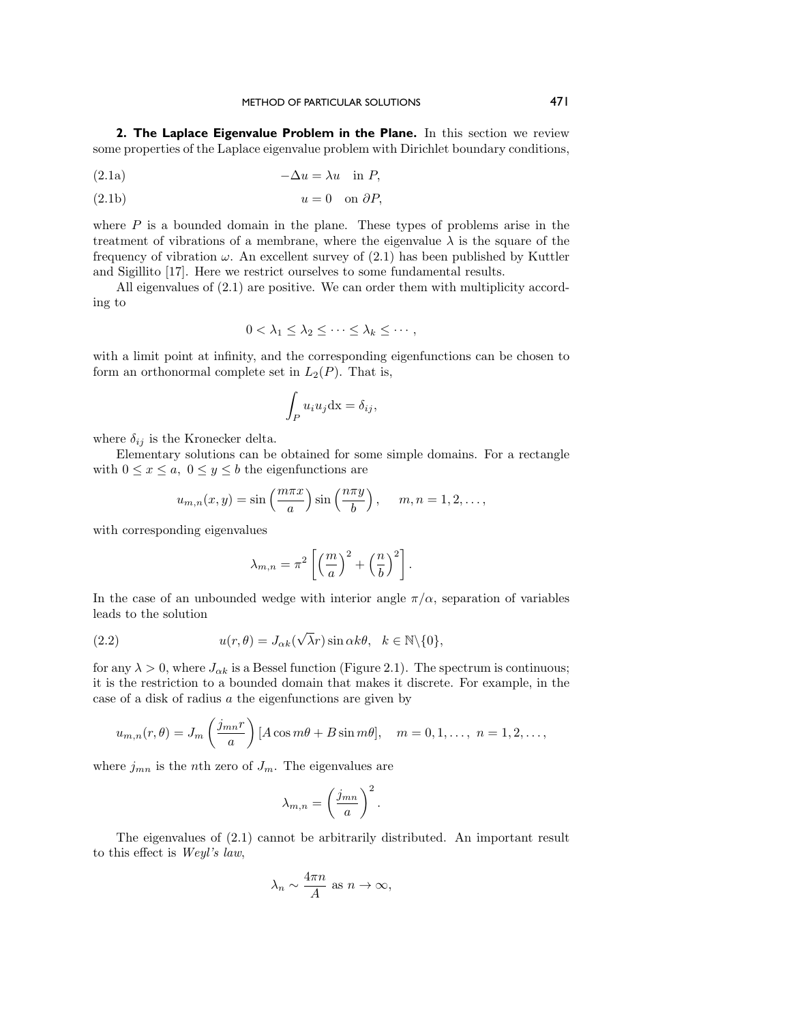**2. The Laplace Eigenvalue Problem in the Plane.** In this section we review some properties of the Laplace eigenvalue problem with Dirichlet boundary conditions,

$$
(2.1a) \t -\Delta u = \lambda u \t \text{in } P,
$$

$$
(2.1b) \t\t u = 0 \t on \t \partial P,
$$

where  $P$  is a bounded domain in the plane. These types of problems arise in the treatment of vibrations of a membrane, where the eigenvalue  $\lambda$  is the square of the frequency of vibration  $\omega$ . An excellent survey of (2.1) has been published by Kuttler and Sigillito [17]. Here we restrict ourselves to some fundamental results.

All eigenvalues of (2.1) are positive. We can order them with multiplicity according to

$$
0 < \lambda_1 \leq \lambda_2 \leq \cdots \leq \lambda_k \leq \cdots,
$$

with a limit point at infinity, and the corresponding eigenfunctions can be chosen to form an orthonormal complete set in  $L_2(P)$ . That is,

$$
\int_P u_i u_j \mathrm{d} \mathbf{x} = \delta_{ij},
$$

where  $\delta_{ij}$  is the Kronecker delta.

Elementary solutions can be obtained for some simple domains. For a rectangle with  $0 \le x \le a, 0 \le y \le b$  the eigenfunctions are

$$
u_{m,n}(x,y) = \sin\left(\frac{m\pi x}{a}\right)\sin\left(\frac{n\pi y}{b}\right), \quad m,n = 1,2,\ldots,
$$

with corresponding eigenvalues

$$
\lambda_{m,n} = \pi^2 \left[ \left( \frac{m}{a} \right)^2 + \left( \frac{n}{b} \right)^2 \right].
$$

In the case of an unbounded wedge with interior angle  $\pi/\alpha$ , separation of variables leads to the solution

(2.2) 
$$
u(r,\theta) = J_{\alpha k}(\sqrt{\lambda}r)\sin \alpha k\theta, \quad k \in \mathbb{N}\backslash\{0\},
$$

for any  $\lambda > 0$ , where  $J_{\alpha k}$  is a Bessel function (Figure 2.1). The spectrum is continuous; it is the restriction to a bounded domain that makes it discrete. For example, in the case of a disk of radius a the eigenfunctions are given by

$$
u_{m,n}(r,\theta) = J_m\left(\frac{j_{mn}r}{a}\right)[A\cos m\theta + B\sin m\theta], \quad m = 0, 1, \dots, n = 1, 2, \dots,
$$

where  $j_{mn}$  is the nth zero of  $J_m$ . The eigenvalues are

$$
\lambda_{m,n} = \left(\frac{j_{mn}}{a}\right)^2.
$$

The eigenvalues of (2.1) cannot be arbitrarily distributed. An important result to this effect is Weyl's law,

$$
\lambda_n \sim \frac{4\pi n}{A}
$$
 as  $n \to \infty$ ,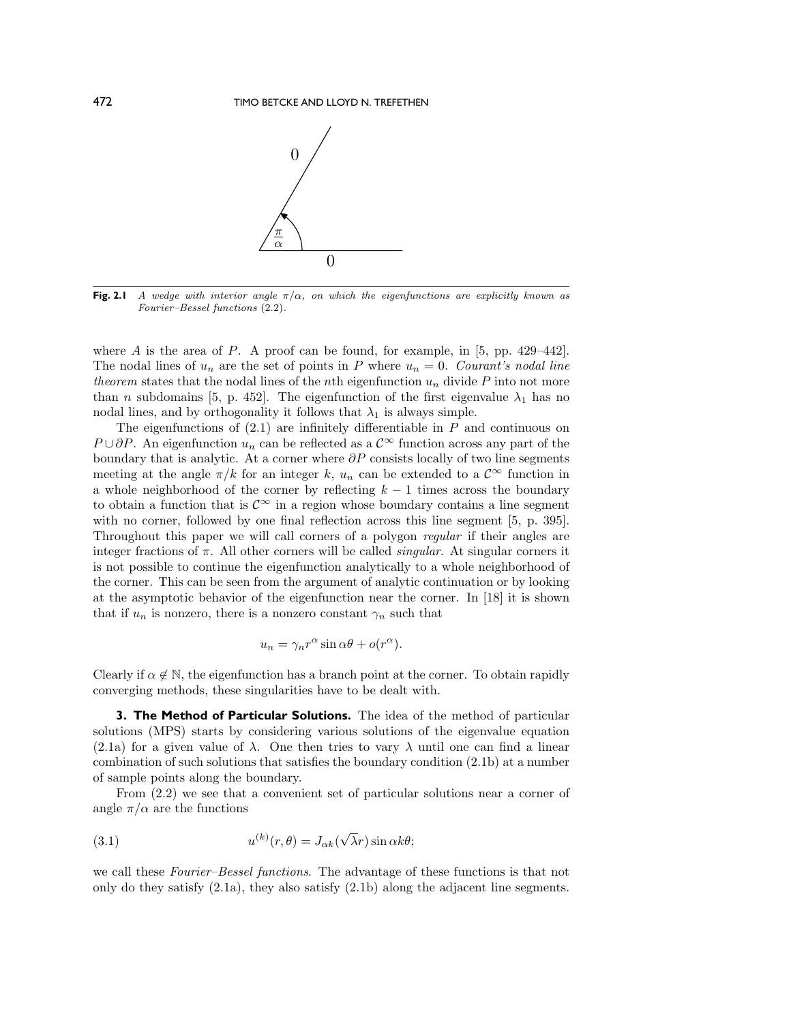

**Fig. 2.1** A wedge with interior angle  $\pi/\alpha$ , on which the eigenfunctions are explicitly known as Fourier–Bessel functions (2.2).

where A is the area of P. A proof can be found, for example, in  $[5, pp. 429-442]$ . The nodal lines of  $u_n$  are the set of points in P where  $u_n = 0$ . Courant's nodal line theorem states that the nodal lines of the nth eigenfunction  $u_n$  divide P into not more than *n* subdomains [5, p. 452]. The eigenfunction of the first eigenvalue  $\lambda_1$  has no nodal lines, and by orthogonality it follows that  $\lambda_1$  is always simple.

The eigenfunctions of  $(2.1)$  are infinitely differentiable in P and continuous on  $P \cup \partial P$ . An eigenfunction  $u_n$  can be reflected as a  $\mathcal{C}^{\infty}$  function across any part of the boundary that is analytic. At a corner where  $\partial P$  consists locally of two line segments meeting at the angle  $\pi/k$  for an integer k,  $u_n$  can be extended to a  $\mathcal{C}^{\infty}$  function in a whole neighborhood of the corner by reflecting  $k - 1$  times across the boundary to obtain a function that is  $\mathcal{C}^{\infty}$  in a region whose boundary contains a line segment with no corner, followed by one final reflection across this line segment [5, p. 395]. Throughout this paper we will call corners of a polygon regular if their angles are integer fractions of  $\pi$ . All other corners will be called *singular*. At singular corners it is not possible to continue the eigenfunction analytically to a whole neighborhood of the corner. This can be seen from the argument of analytic continuation or by looking at the asymptotic behavior of the eigenfunction near the corner. In [18] it is shown that if  $u_n$  is nonzero, there is a nonzero constant  $\gamma_n$  such that

$$
u_n = \gamma_n r^{\alpha} \sin \alpha \theta + o(r^{\alpha}).
$$

Clearly if  $\alpha \notin \mathbb{N}$ , the eigenfunction has a branch point at the corner. To obtain rapidly converging methods, these singularities have to be dealt with.

**3. The Method of Particular Solutions.** The idea of the method of particular solutions (MPS) starts by considering various solutions of the eigenvalue equation (2.1a) for a given value of  $\lambda$ . One then tries to vary  $\lambda$  until one can find a linear combination of such solutions that satisfies the boundary condition (2.1b) at a number of sample points along the boundary.

From (2.2) we see that a convenient set of particular solutions near a corner of angle  $\pi/\alpha$  are the functions

(3.1) 
$$
u^{(k)}(r,\theta) = J_{\alpha k}(\sqrt{\lambda}r)\sin \alpha k\theta;
$$

we call these Fourier–Bessel functions. The advantage of these functions is that not only do they satisfy (2.1a), they also satisfy (2.1b) along the adjacent line segments.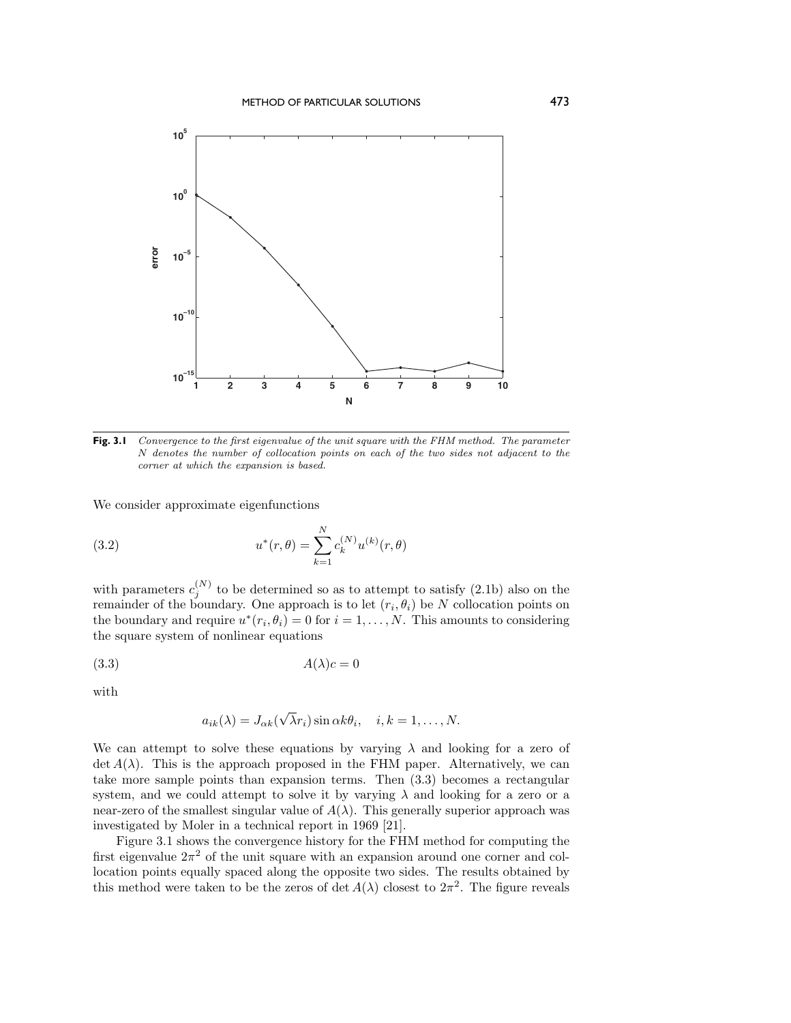

**Fig. 3.1** Convergence to the first eigenvalue of the unit square with the FHM method. The parameter N denotes the number of collocation points on each of the two sides not adjacent to the corner at which the expansion is based.

We consider approximate eigenfunctions

(3.2) 
$$
u^*(r,\theta) = \sum_{k=1}^N c_k^{(N)} u^{(k)}(r,\theta)
$$

with parameters  $c_j^{(N)}$  to be determined so as to attempt to satisfy (2.1b) also on the remainder of the boundary. One approach is to let  $(r_i, \theta_i)$  be N collocation points on the boundary and require  $u^*(r_i, \theta_i) = 0$  for  $i = 1, \ldots, N$ . This amounts to considering the square system of nonlinear equations

$$
(3.3) \t\t A(\lambda)c = 0
$$

with

$$
a_{ik}(\lambda) = J_{\alpha k}(\sqrt{\lambda}r_i) \sin \alpha k \theta_i, \quad i, k = 1, \dots, N.
$$

We can attempt to solve these equations by varying  $\lambda$  and looking for a zero of  $\det A(\lambda)$ . This is the approach proposed in the FHM paper. Alternatively, we can take more sample points than expansion terms. Then (3.3) becomes a rectangular system, and we could attempt to solve it by varying  $\lambda$  and looking for a zero or a near-zero of the smallest singular value of  $A(\lambda)$ . This generally superior approach was investigated by Moler in a technical report in 1969 [21].

Figure 3.1 shows the convergence history for the FHM method for computing the first eigenvalue  $2\pi^2$  of the unit square with an expansion around one corner and collocation points equally spaced along the opposite two sides. The results obtained by this method were taken to be the zeros of det  $A(\lambda)$  closest to  $2\pi^2$ . The figure reveals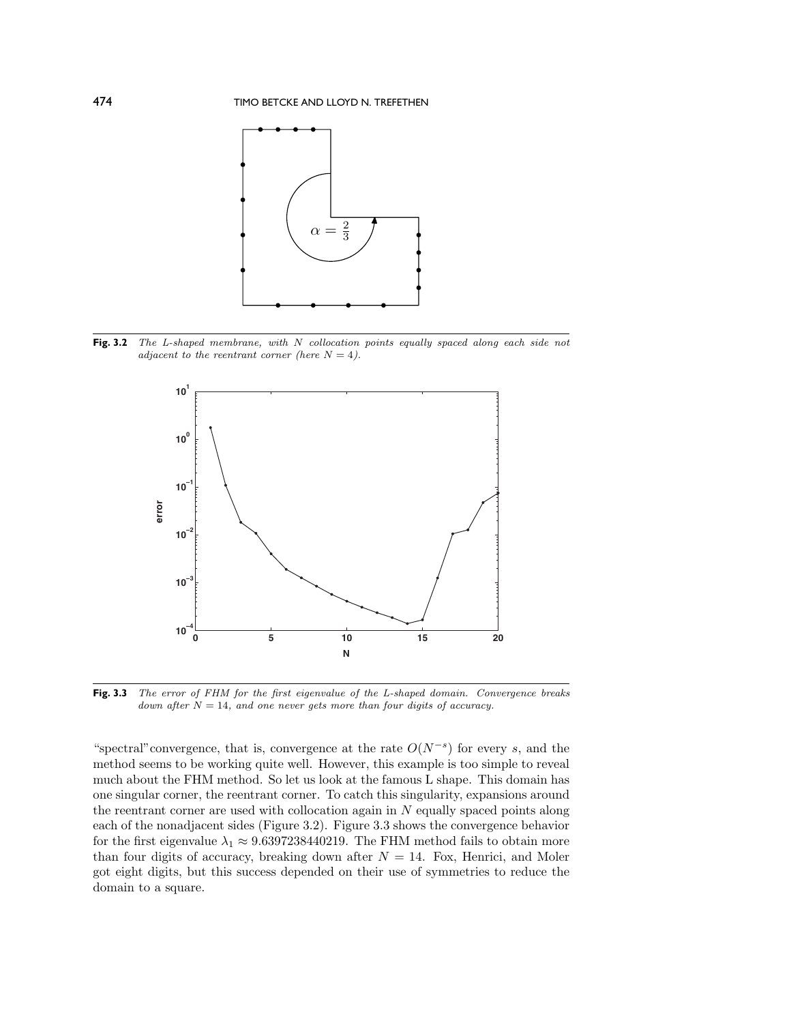

Fig. 3.2 The L-shaped membrane, with N collocation points equally spaced along each side not adjacent to the reentrant corner (here  $N = 4$ ).



**Fig. 3.3** The error of FHM for the first eigenvalue of the L-shaped domain. Convergence breaks down after  $N = 14$ , and one never gets more than four digits of accuracy.

"spectral" convergence, that is, convergence at the rate  $O(N^{-s})$  for every s, and the method seems to be working quite well. However, this example is too simple to reveal much about the FHM method. So let us look at the famous L shape. This domain has one singular corner, the reentrant corner. To catch this singularity, expansions around the reentrant corner are used with collocation again in N equally spaced points along each of the nonadjacent sides (Figure 3.2). Figure 3.3 shows the convergence behavior for the first eigenvalue  $\lambda_1 \approx 9.6397238440219$ . The FHM method fails to obtain more than four digits of accuracy, breaking down after  $N = 14$ . Fox, Henrici, and Moler got eight digits, but this success depended on their use of symmetries to reduce the domain to a square.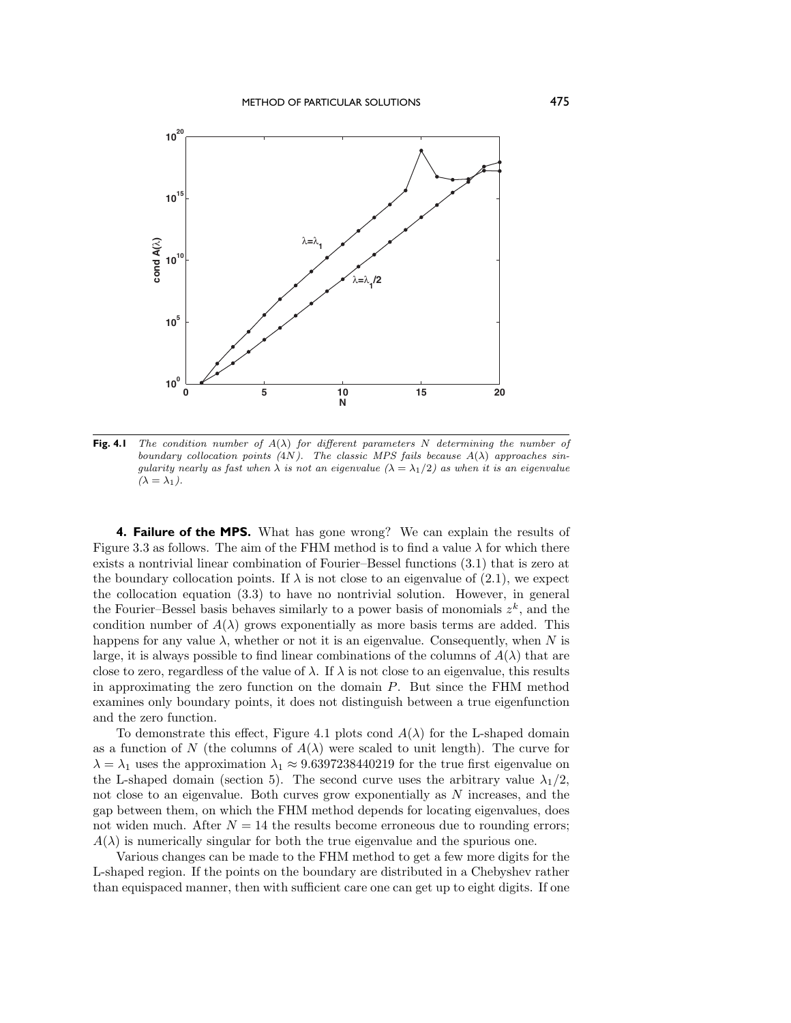

**Fig. 4.1** The condition number of  $A(\lambda)$  for different parameters N determining the number of boundary collocation points (4N). The classic MPS fails because  $A(\lambda)$  approaches singularity nearly as fast when  $\lambda$  is not an eigenvalue  $(\lambda = \lambda_1/2)$  as when it is an eigenvalue  $(\lambda = \lambda_1).$ 

**4. Failure of the MPS.** What has gone wrong? We can explain the results of Figure 3.3 as follows. The aim of the FHM method is to find a value  $\lambda$  for which there exists a nontrivial linear combination of Fourier–Bessel functions (3.1) that is zero at the boundary collocation points. If  $\lambda$  is not close to an eigenvalue of (2.1), we expect the collocation equation (3.3) to have no nontrivial solution. However, in general the Fourier–Bessel basis behaves similarly to a power basis of monomials  $z^k$ , and the condition number of  $A(\lambda)$  grows exponentially as more basis terms are added. This happens for any value  $\lambda$ , whether or not it is an eigenvalue. Consequently, when N is large, it is always possible to find linear combinations of the columns of  $A(\lambda)$  that are close to zero, regardless of the value of  $\lambda$ . If  $\lambda$  is not close to an eigenvalue, this results in approximating the zero function on the domain  $P$ . But since the FHM method examines only boundary points, it does not distinguish between a true eigenfunction and the zero function.

To demonstrate this effect, Figure 4.1 plots cond  $A(\lambda)$  for the L-shaped domain as a function of N (the columns of  $A(\lambda)$  were scaled to unit length). The curve for  $\lambda = \lambda_1$  uses the approximation  $\lambda_1 \approx 9.6397238440219$  for the true first eigenvalue on the L-shaped domain (section 5). The second curve uses the arbitrary value  $\lambda_1/2$ , not close to an eigenvalue. Both curves grow exponentially as N increases, and the gap between them, on which the FHM method depends for locating eigenvalues, does not widen much. After  $N = 14$  the results become erroneous due to rounding errors;  $A(\lambda)$  is numerically singular for both the true eigenvalue and the spurious one.

Various changes can be made to the FHM method to get a few more digits for the L-shaped region. If the points on the boundary are distributed in a Chebyshev rather than equispaced manner, then with sufficient care one can get up to eight digits. If one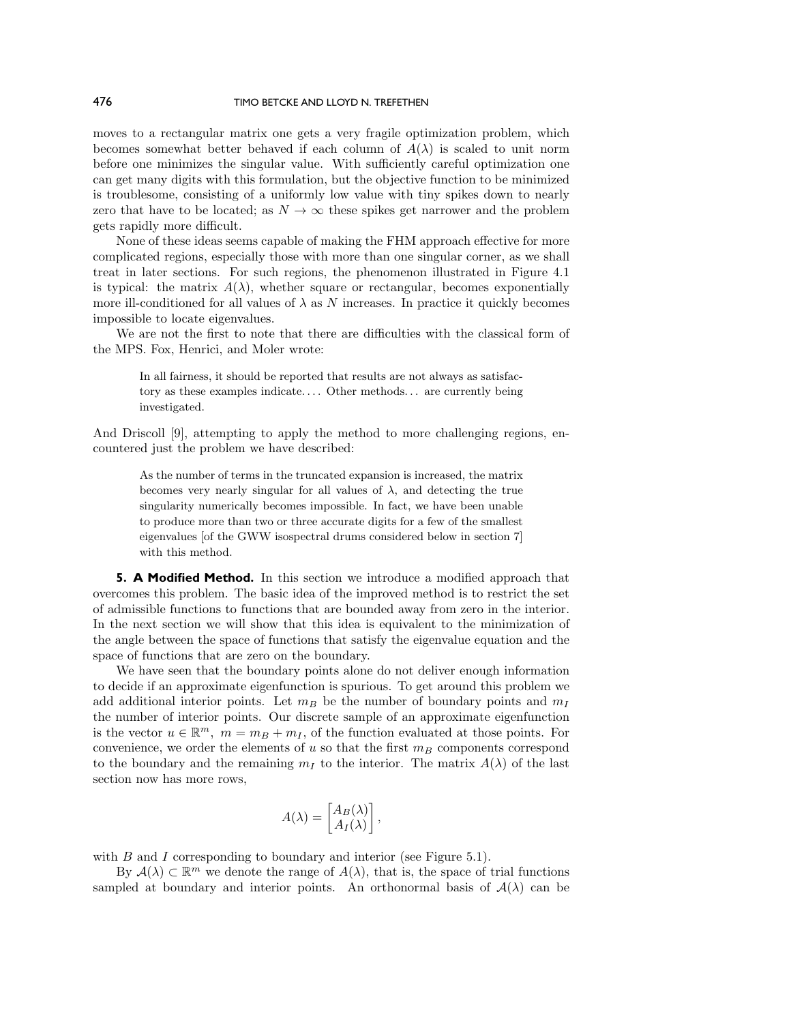## 476 TIMO BETCKE AND LLOYD N. TREFETHEN

moves to a rectangular matrix one gets a very fragile optimization problem, which becomes somewhat better behaved if each column of  $A(\lambda)$  is scaled to unit norm before one minimizes the singular value. With sufficiently careful optimization one can get many digits with this formulation, but the objective function to be minimized is troublesome, consisting of a uniformly low value with tiny spikes down to nearly zero that have to be located; as  $N \to \infty$  these spikes get narrower and the problem gets rapidly more difficult.

None of these ideas seems capable of making the FHM approach effective for more complicated regions, especially those with more than one singular corner, as we shall treat in later sections. For such regions, the phenomenon illustrated in Figure 4.1 is typical: the matrix  $A(\lambda)$ , whether square or rectangular, becomes exponentially more ill-conditioned for all values of  $\lambda$  as N increases. In practice it quickly becomes impossible to locate eigenvalues.

We are not the first to note that there are difficulties with the classical form of the MPS. Fox, Henrici, and Moler wrote:

In all fairness, it should be reported that results are not always as satisfactory as these examples indicate... . Other methods... are currently being investigated.

And Driscoll [9], attempting to apply the method to more challenging regions, encountered just the problem we have described:

As the number of terms in the truncated expansion is increased, the matrix becomes very nearly singular for all values of  $\lambda$ , and detecting the true singularity numerically becomes impossible. In fact, we have been unable to produce more than two or three accurate digits for a few of the smallest eigenvalues [of the GWW isospectral drums considered below in section 7] with this method.

**5. A Modified Method.** In this section we introduce a modified approach that overcomes this problem. The basic idea of the improved method is to restrict the set of admissible functions to functions that are bounded away from zero in the interior. In the next section we will show that this idea is equivalent to the minimization of the angle between the space of functions that satisfy the eigenvalue equation and the space of functions that are zero on the boundary.

We have seen that the boundary points alone do not deliver enough information to decide if an approximate eigenfunction is spurious. To get around this problem we add additional interior points. Let  $m_B$  be the number of boundary points and  $m_I$ the number of interior points. Our discrete sample of an approximate eigenfunction is the vector  $u \in \mathbb{R}^m$ ,  $m = m_B + m_I$ , of the function evaluated at those points. For convenience, we order the elements of u so that the first  $m_B$  components correspond to the boundary and the remaining  $m<sub>I</sub>$  to the interior. The matrix  $A(\lambda)$  of the last section now has more rows,

$$
A(\lambda) = \begin{bmatrix} A_B(\lambda) \\ A_I(\lambda) \end{bmatrix},
$$

with B and I corresponding to boundary and interior (see Figure 5.1).

By  $\mathcal{A}(\lambda) \subset \mathbb{R}^m$  we denote the range of  $A(\lambda)$ , that is, the space of trial functions sampled at boundary and interior points. An orthonormal basis of  $A(\lambda)$  can be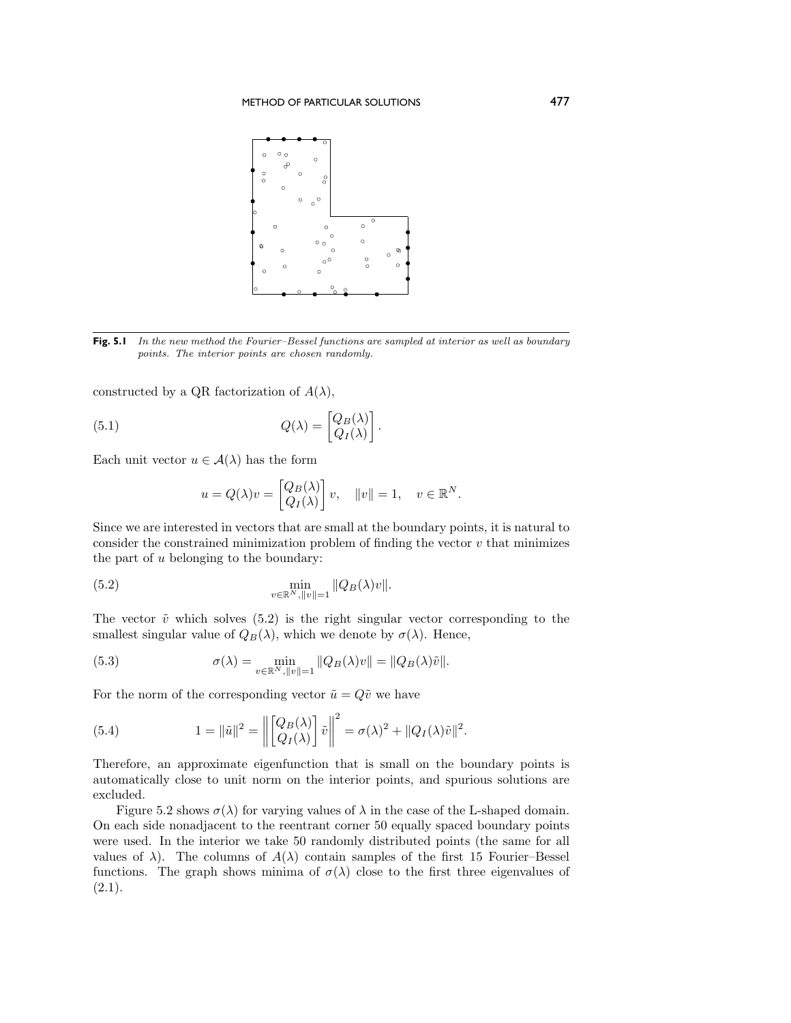

**Fig. 5.1** In the new method the Fourier–Bessel functions are sampled at interior as well as boundary points. The interior points are chosen randomly.

constructed by a QR factorization of  $A(\lambda)$ ,

(5.1) 
$$
Q(\lambda) = \begin{bmatrix} Q_B(\lambda) \\ Q_I(\lambda) \end{bmatrix}.
$$

Each unit vector  $u \in \mathcal{A}(\lambda)$  has the form

$$
u = Q(\lambda)v = \begin{bmatrix} Q_B(\lambda) \\ Q_I(\lambda) \end{bmatrix} v, \quad ||v|| = 1, \quad v \in \mathbb{R}^N.
$$

Since we are interested in vectors that are small at the boundary points, it is natural to consider the constrained minimization problem of finding the vector  $v$  that minimizes the part of  $u$  belonging to the boundary:

(5.2) 
$$
\min_{v \in \mathbb{R}^N, ||v|| = 1} ||Q_B(\lambda)v||.
$$

The vector  $\tilde{v}$  which solves (5.2) is the right singular vector corresponding to the smallest singular value of  $Q_B(\lambda)$ , which we denote by  $\sigma(\lambda)$ . Hence,

(5.3) 
$$
\sigma(\lambda) = \min_{v \in \mathbb{R}^N, ||v|| = 1} ||Q_B(\lambda)v|| = ||Q_B(\lambda)\tilde{v}||.
$$

For the norm of the corresponding vector  $\tilde{u}=Q\tilde{v}$  we have

(5.4) 
$$
1 = \|\tilde{u}\|^2 = \left\| \begin{bmatrix} Q_B(\lambda) \\ Q_I(\lambda) \end{bmatrix} \tilde{v} \right\|^2 = \sigma(\lambda)^2 + \|Q_I(\lambda)\tilde{v}\|^2.
$$

Therefore, an approximate eigenfunction that is small on the boundary points is automatically close to unit norm on the interior points, and spurious solutions are excluded.

Figure 5.2 shows  $\sigma(\lambda)$  for varying values of  $\lambda$  in the case of the L-shaped domain. On each side nonadjacent to the reentrant corner 50 equally spaced boundary points were used. In the interior we take 50 randomly distributed points (the same for all values of  $\lambda$ ). The columns of  $A(\lambda)$  contain samples of the first 15 Fourier–Bessel functions. The graph shows minima of  $\sigma(\lambda)$  close to the first three eigenvalues of  $(2.1).$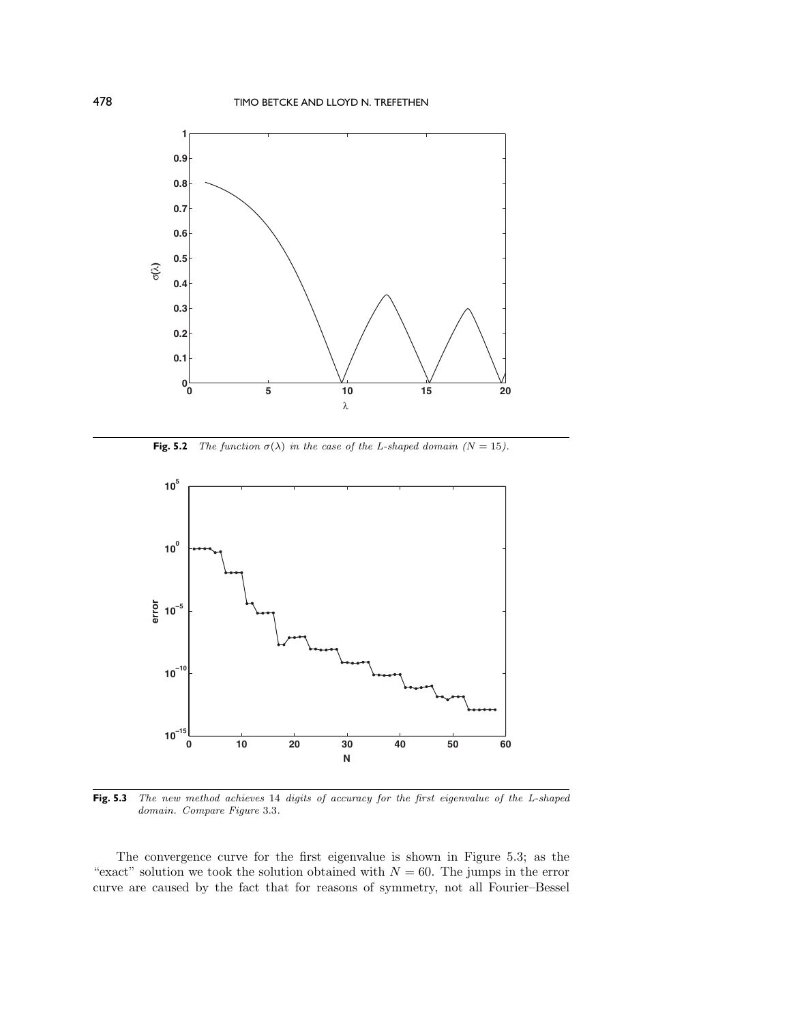

**Fig. 5.2** The function  $\sigma(\lambda)$  in the case of the L-shaped domain  $(N = 15)$ .



Fig. 5.3 The new method achieves 14 digits of accuracy for the first eigenvalue of the L-shaped domain. Compare Figure 3.3.

The convergence curve for the first eigenvalue is shown in Figure 5.3; as the "exact" solution we took the solution obtained with  $N = 60$ . The jumps in the error curve are caused by the fact that for reasons of symmetry, not all Fourier–Bessel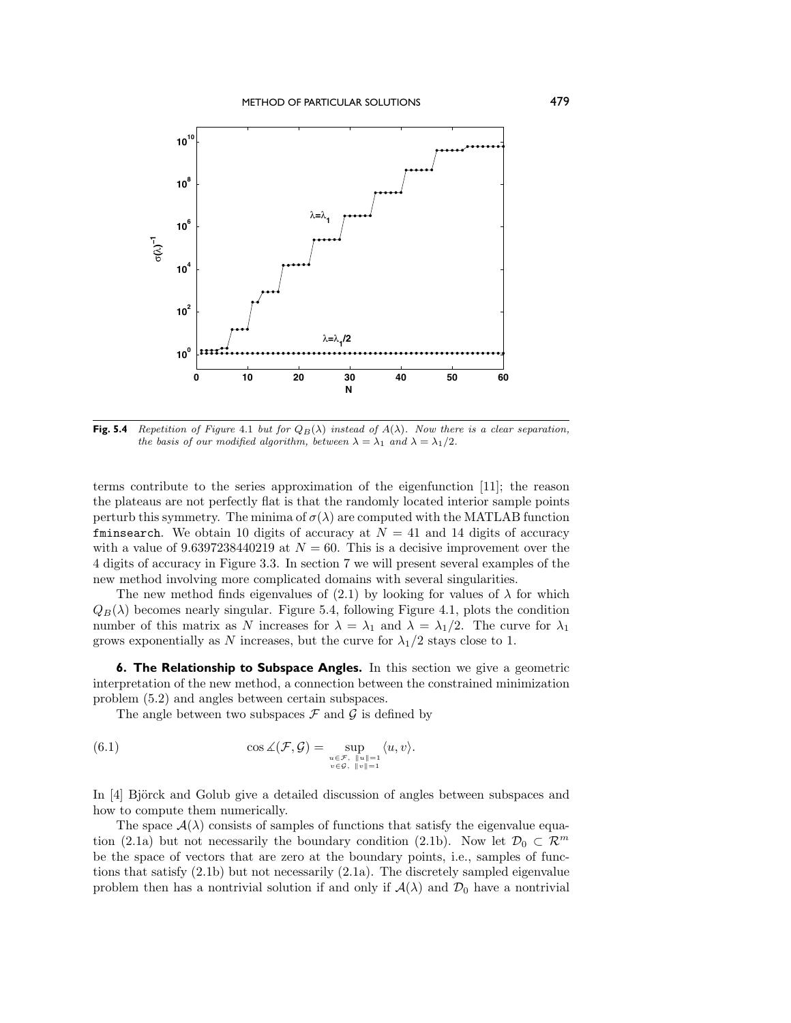

**Fig. 5.4** Repetition of Figure 4.1 but for  $Q_B(\lambda)$  instead of  $A(\lambda)$ . Now there is a clear separation, the basis of our modified algorithm, between  $\lambda = \lambda_1$  and  $\lambda = \lambda_1/2$ .

terms contribute to the series approximation of the eigenfunction [11]; the reason the plateaus are not perfectly flat is that the randomly located interior sample points perturb this symmetry. The minima of  $\sigma(\lambda)$  are computed with the MATLAB function **fminsearch.** We obtain 10 digits of accuracy at  $N = 41$  and 14 digits of accuracy with a value of 9.6397238440219 at  $N = 60$ . This is a decisive improvement over the 4 digits of accuracy in Figure 3.3. In section 7 we will present several examples of the new method involving more complicated domains with several singularities.

The new method finds eigenvalues of  $(2.1)$  by looking for values of  $\lambda$  for which  $Q_B(\lambda)$  becomes nearly singular. Figure 5.4, following Figure 4.1, plots the condition number of this matrix as N increases for  $\lambda = \lambda_1$  and  $\lambda = \lambda_1/2$ . The curve for  $\lambda_1$ grows exponentially as N increases, but the curve for  $\lambda_1/2$  stays close to 1.

**6. The Relationship to Subspace Angles.** In this section we give a geometric interpretation of the new method, a connection between the constrained minimization problem (5.2) and angles between certain subspaces.

The angle between two subspaces  $\mathcal F$  and  $\mathcal G$  is defined by

(6.1) 
$$
\cos \angle (\mathcal{F}, \mathcal{G}) = \sup_{\substack{u \in \mathcal{F}, \ ||u|| = 1 \\ v \in \mathcal{G}, \ ||v|| = 1}} \langle u, v \rangle.
$$

In [4] Björck and Golub give a detailed discussion of angles between subspaces and how to compute them numerically.

The space  $\mathcal{A}(\lambda)$  consists of samples of functions that satisfy the eigenvalue equation (2.1a) but not necessarily the boundary condition (2.1b). Now let  $\mathcal{D}_0 \subset \mathcal{R}^m$ be the space of vectors that are zero at the boundary points, i.e., samples of functions that satisfy (2.1b) but not necessarily (2.1a). The discretely sampled eigenvalue problem then has a nontrivial solution if and only if  $\mathcal{A}(\lambda)$  and  $\mathcal{D}_0$  have a nontrivial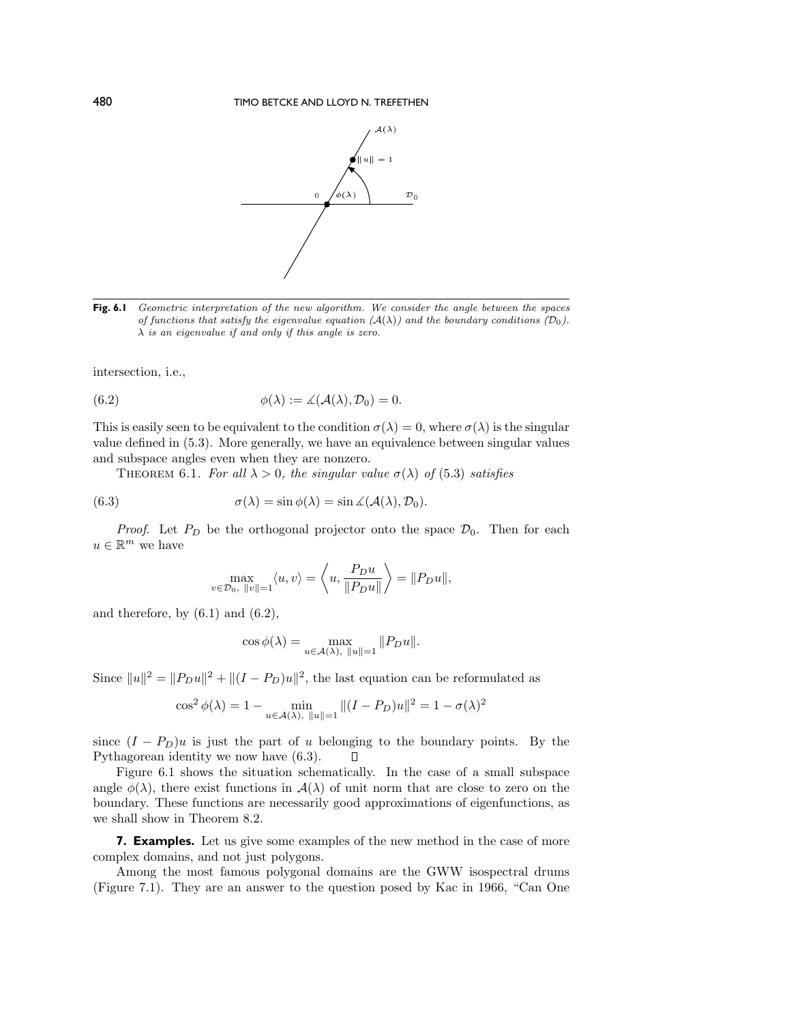

Fig. 6.1 Geometric interpretation of the new algorithm. We consider the angle between the spaces of functions that satisfy the eigenvalue equation  $(A(\lambda))$  and the boundary conditions  $(\mathcal{D}_0)$ .  $\lambda$  is an eigenvalue if and only if this angle is zero.

intersection, i.e.,

(6.2) 
$$
\phi(\lambda) := \measuredangle(\mathcal{A}(\lambda), \mathcal{D}_0) = 0.
$$

This is easily seen to be equivalent to the condition  $\sigma(\lambda) = 0$ , where  $\sigma(\lambda)$  is the singular value defined in (5.3). More generally, we have an equivalence between singular values and subspace angles even when they are nonzero.

THEOREM 6.1. For all  $\lambda > 0$ , the singular value  $\sigma(\lambda)$  of (5.3) satisfies

(6.3) 
$$
\sigma(\lambda) = \sin \phi(\lambda) = \sin \angle(\mathcal{A}(\lambda), \mathcal{D}_0).
$$

*Proof.* Let  $P_D$  be the orthogonal projector onto the space  $\mathcal{D}_0$ . Then for each  $u \in \mathbb{R}^m$  we have

$$
\max_{v \in \mathcal{D}_0, ||v|| = 1} \langle u, v \rangle = \left\langle u, \frac{P_D u}{||P_D u||} \right\rangle = ||P_D u||,
$$

and therefore, by  $(6.1)$  and  $(6.2)$ ,

$$
\cos\phi(\lambda)=\max_{u\in\mathcal{A}(\lambda),\;\|u\|=1}\|P_Du\|.
$$

Since  $||u||^2 = ||P_Du||^2 + ||(I - P_D)u||^2$ , the last equation can be reformulated as

$$
\cos^2 \phi(\lambda) = 1 - \min_{u \in \mathcal{A}(\lambda), \|u\| = 1} \| (I - P_D)u \|^2 = 1 - \sigma(\lambda)^2
$$

since  $(I - P_D)u$  is just the part of u belonging to the boundary points. By the Pythagorean identity we now have (6.3). П

Figure 6.1 shows the situation schematically. In the case of a small subspace angle  $\phi(\lambda)$ , there exist functions in  $\mathcal{A}(\lambda)$  of unit norm that are close to zero on the boundary. These functions are necessarily good approximations of eigenfunctions, as we shall show in Theorem 8.2.

**7. Examples.** Let us give some examples of the new method in the case of more complex domains, and not just polygons.

Among the most famous polygonal domains are the GWW isospectral drums (Figure 7.1). They are an answer to the question posed by Kac in 1966, "Can One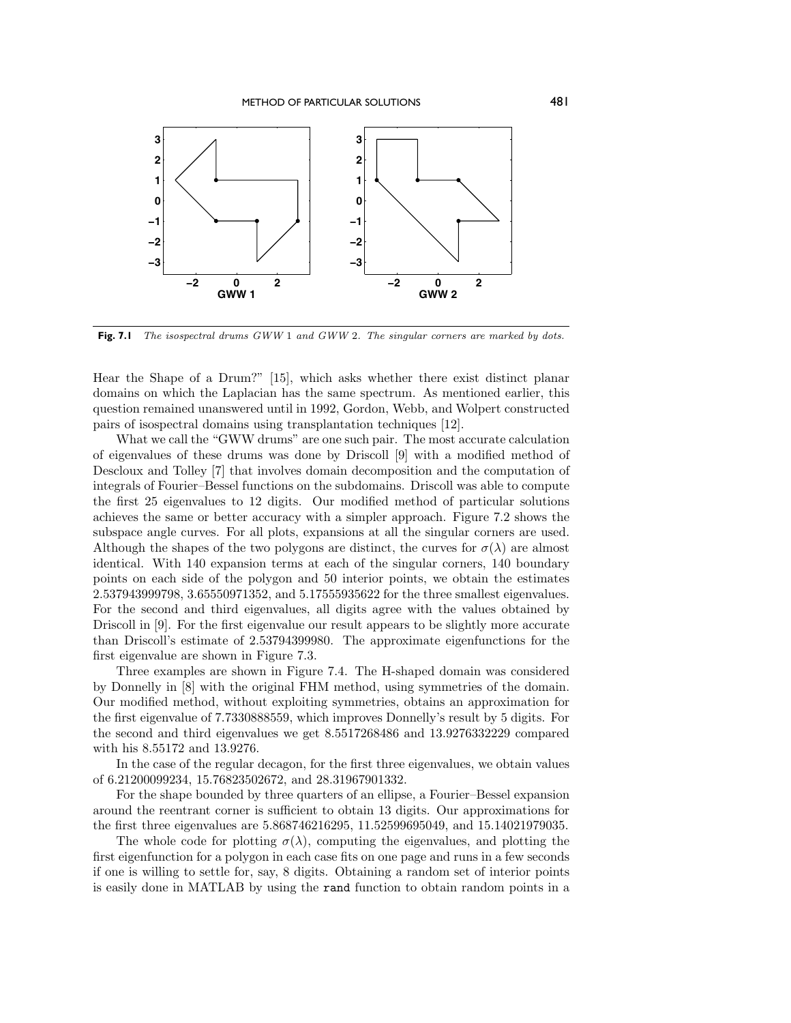

Fig. 7.1 The isospectral drums GWW 1 and GWW 2. The singular corners are marked by dots.

Hear the Shape of a Drum?" [15], which asks whether there exist distinct planar domains on which the Laplacian has the same spectrum. As mentioned earlier, this question remained unanswered until in 1992, Gordon, Webb, and Wolpert constructed pairs of isospectral domains using transplantation techniques [12].

What we call the "GWW drums" are one such pair. The most accurate calculation of eigenvalues of these drums was done by Driscoll [9] with a modified method of Descloux and Tolley [7] that involves domain decomposition and the computation of integrals of Fourier–Bessel functions on the subdomains. Driscoll was able to compute the first 25 eigenvalues to 12 digits. Our modified method of particular solutions achieves the same or better accuracy with a simpler approach. Figure 7.2 shows the subspace angle curves. For all plots, expansions at all the singular corners are used. Although the shapes of the two polygons are distinct, the curves for  $\sigma(\lambda)$  are almost identical. With 140 expansion terms at each of the singular corners, 140 boundary points on each side of the polygon and 50 interior points, we obtain the estimates 2.537943999798, 3.65550971352, and 5.17555935622 for the three smallest eigenvalues. For the second and third eigenvalues, all digits agree with the values obtained by Driscoll in [9]. For the first eigenvalue our result appears to be slightly more accurate than Driscoll's estimate of 2.53794399980. The approximate eigenfunctions for the first eigenvalue are shown in Figure 7.3.

Three examples are shown in Figure 7.4. The H-shaped domain was considered by Donnelly in [8] with the original FHM method, using symmetries of the domain. Our modified method, without exploiting symmetries, obtains an approximation for the first eigenvalue of 7.7330888559, which improves Donnelly's result by 5 digits. For the second and third eigenvalues we get 8.5517268486 and 13.9276332229 compared with his 8.55172 and 13.9276.

In the case of the regular decagon, for the first three eigenvalues, we obtain values of 6.21200099234, 15.76823502672, and 28.31967901332.

For the shape bounded by three quarters of an ellipse, a Fourier–Bessel expansion around the reentrant corner is sufficient to obtain 13 digits. Our approximations for the first three eigenvalues are 5.868746216295, 11.52599695049, and 15.14021979035.

The whole code for plotting  $\sigma(\lambda)$ , computing the eigenvalues, and plotting the first eigenfunction for a polygon in each case fits on one page and runs in a few seconds if one is willing to settle for, say, 8 digits. Obtaining a random set of interior points is easily done in MATLAB by using the rand function to obtain random points in a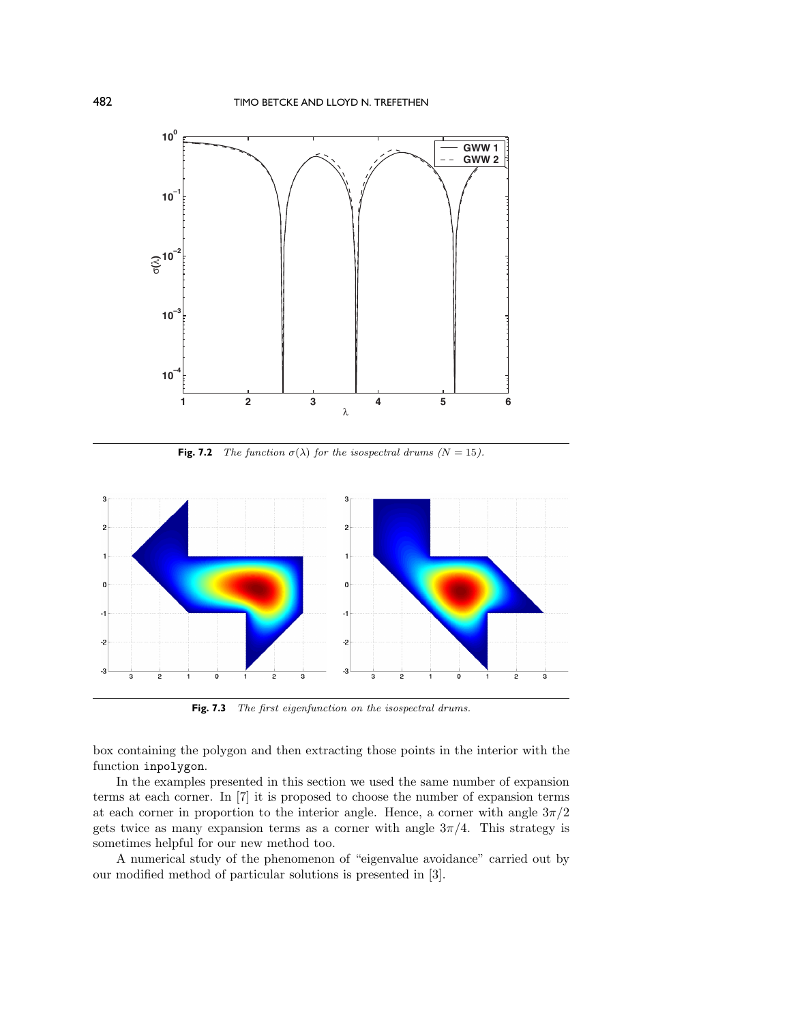

**Fig. 7.2** The function  $\sigma(\lambda)$  for the isospectral drums  $(N = 15)$ .



Fig. 7.3 The first eigenfunction on the isospectral drums.

box containing the polygon and then extracting those points in the interior with the function inpolygon.

In the examples presented in this section we used the same number of expansion terms at each corner. In [7] it is proposed to choose the number of expansion terms at each corner in proportion to the interior angle. Hence, a corner with angle  $3\pi/2$ gets twice as many expansion terms as a corner with angle  $3\pi/4$ . This strategy is sometimes helpful for our new method too.

A numerical study of the phenomenon of "eigenvalue avoidance" carried out by our modified method of particular solutions is presented in [3].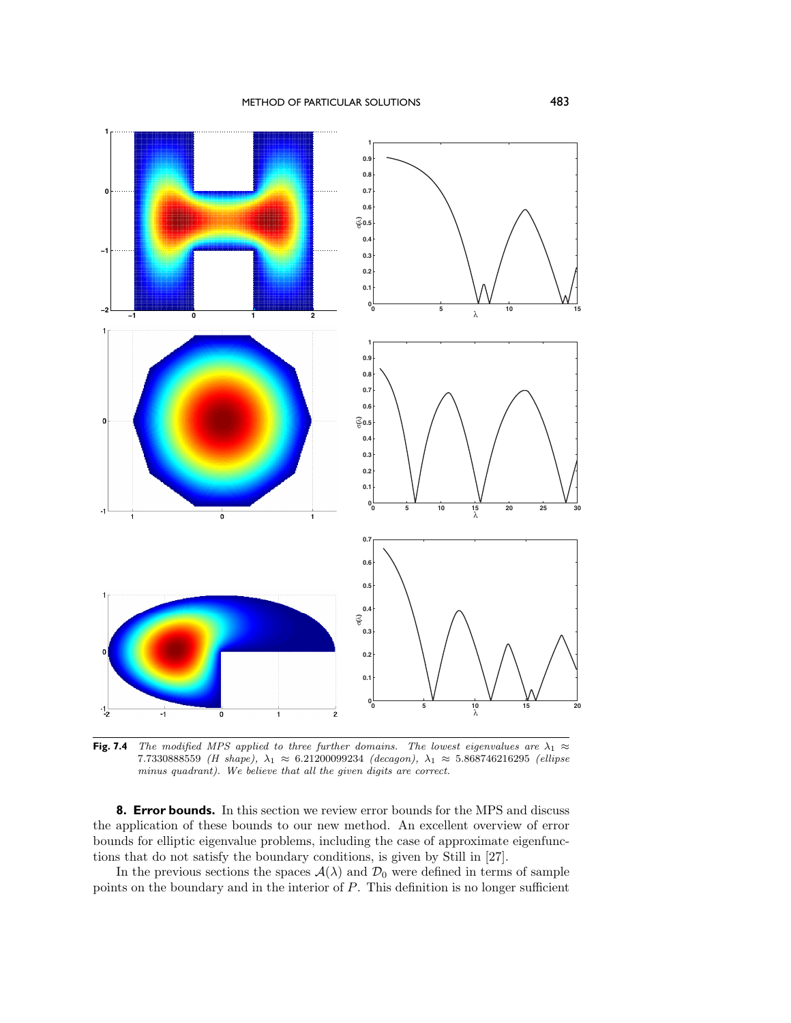

**Fig. 7.4** The modified MPS applied to three further domains. The lowest eigenvalues are  $\lambda_1 \approx$ 7.7330888559 (H shape),  $\lambda_1 \approx 6.21200099234$  (decagon),  $\lambda_1 \approx 5.868746216295$  (ellipse minus quadrant). We believe that all the given digits are correct.

**8. Error bounds.** In this section we review error bounds for the MPS and discuss the application of these bounds to our new method. An excellent overview of error bounds for elliptic eigenvalue problems, including the case of approximate eigenfunctions that do not satisfy the boundary conditions, is given by Still in [27].

In the previous sections the spaces  $\mathcal{A}(\lambda)$  and  $\mathcal{D}_0$  were defined in terms of sample points on the boundary and in the interior of  $P$ . This definition is no longer sufficient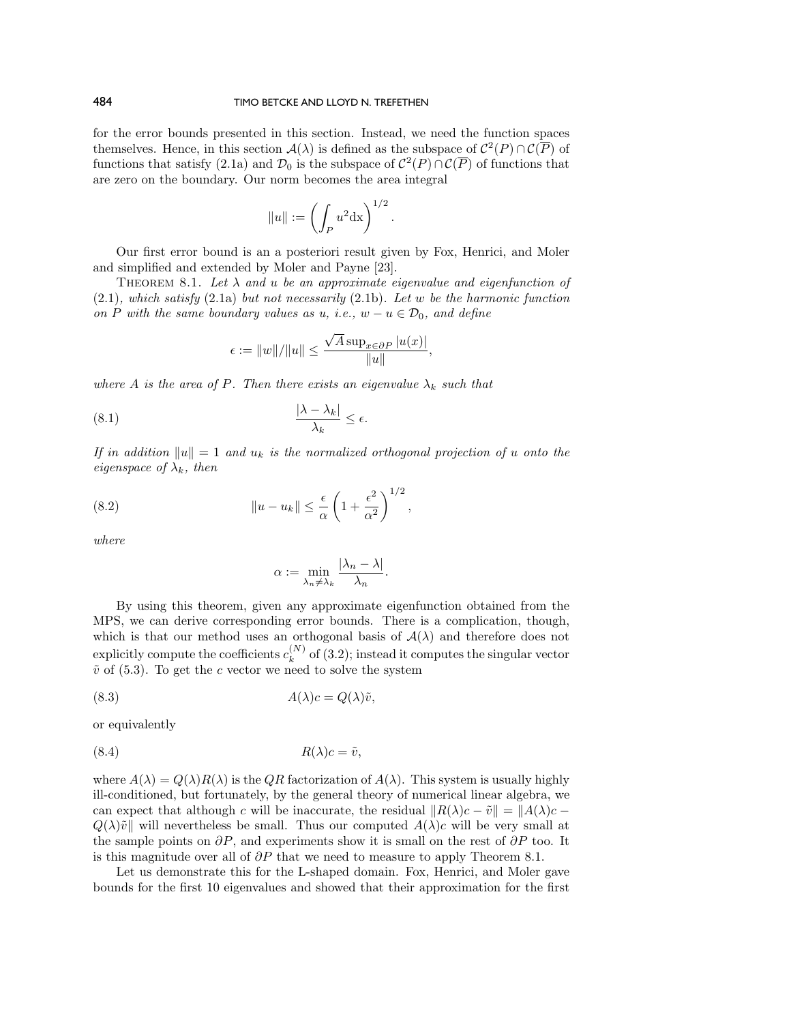for the error bounds presented in this section. Instead, we need the function spaces themselves. Hence, in this section  $\mathcal{A}(\lambda)$  is defined as the subspace of  $\mathcal{C}^2(P) \cap \mathcal{C}(\overline{P})$  of functions that satisfy (2.1a) and  $\mathcal{D}_0$  is the subspace of  $\mathcal{C}^2(P) \cap \mathcal{C}(\overline{P})$  of functions that are zero on the boundary. Our norm becomes the area integral

$$
||u|| := \left(\int_P u^2 dx\right)^{1/2}
$$

.

Our first error bound is an a posteriori result given by Fox, Henrici, and Moler and simplified and extended by Moler and Payne [23].

THEOREM 8.1. Let  $\lambda$  and u be an approximate eigenvalue and eigenfunction of  $(2.1)$ , which satisfy  $(2.1a)$  but not necessarily  $(2.1b)$ . Let w be the harmonic function on P with the same boundary values as u, i.e.,  $w - u \in \mathcal{D}_0$ , and define

$$
\epsilon:=\|w\|/\|u\|\leq \frac{\sqrt{A}\sup_{x\in \partial P}|u(x)|}{\|u\|},
$$

where A is the area of P. Then there exists an eigenvalue  $\lambda_k$  such that

(8.1) 
$$
\frac{|\lambda - \lambda_k|}{\lambda_k} \leq \epsilon.
$$

If in addition  $||u|| = 1$  and  $u_k$  is the normalized orthogonal projection of u onto the eigenspace of  $\lambda_k$ , then

(8.2) 
$$
||u - u_k|| \leq \frac{\epsilon}{\alpha} \left( 1 + \frac{\epsilon^2}{\alpha^2} \right)^{1/2},
$$

where

$$
\alpha := \min_{\lambda_n \neq \lambda_k} \frac{|\lambda_n - \lambda|}{\lambda_n}.
$$

By using this theorem, given any approximate eigenfunction obtained from the MPS, we can derive corresponding error bounds. There is a complication, though, which is that our method uses an orthogonal basis of  $A(\lambda)$  and therefore does not explicitly compute the coefficients  $c_k^{(N)}$  of (3.2); instead it computes the singular vector  $\tilde{v}$  of (5.3). To get the c vector we need to solve the system

$$
(8.3) \t\t A(\lambda)c = Q(\lambda)\tilde{v},
$$

or equivalently

$$
(8.4) \t\t R(\lambda)c = \tilde{v},
$$

where  $A(\lambda) = Q(\lambda)R(\lambda)$  is the QR factorization of  $A(\lambda)$ . This system is usually highly ill-conditioned, but fortunately, by the general theory of numerical linear algebra, we can expect that although c will be inaccurate, the residual  $||R(\lambda)c - \tilde{v}|| = ||A(\lambda)c Q(\lambda)\tilde{v}$  will nevertheless be small. Thus our computed  $A(\lambda)c$  will be very small at the sample points on  $\partial P$ , and experiments show it is small on the rest of  $\partial P$  too. It is this magnitude over all of  $\partial P$  that we need to measure to apply Theorem 8.1.

Let us demonstrate this for the L-shaped domain. Fox, Henrici, and Moler gave bounds for the first 10 eigenvalues and showed that their approximation for the first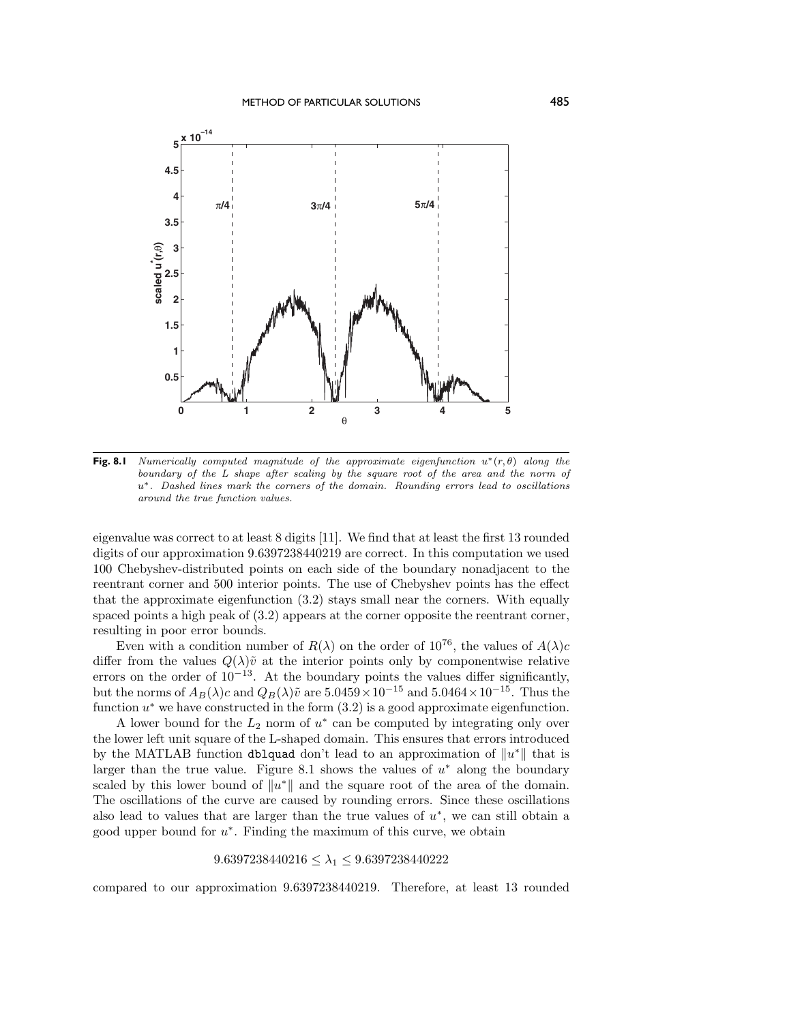

**Fig. 8.1** Numerically computed magnitude of the approximate eigenfunction  $u^*(r, \theta)$  along the boundary of the L shape after scaling by the square root of the area and the norm of u∗. Dashed lines mark the corners of the domain. Rounding errors lead to oscillations around the true function values.

eigenvalue was correct to at least 8 digits [11]. We find that at least the first 13 rounded digits of our approximation 9.6397238440219 are correct. In this computation we used 100 Chebyshev-distributed points on each side of the boundary nonadjacent to the reentrant corner and 500 interior points. The use of Chebyshev points has the effect that the approximate eigenfunction (3.2) stays small near the corners. With equally spaced points a high peak of (3.2) appears at the corner opposite the reentrant corner, resulting in poor error bounds.

Even with a condition number of  $R(\lambda)$  on the order of  $10^{76}$ , the values of  $A(\lambda)c$ differ from the values  $Q(\lambda)\tilde{v}$  at the interior points only by componentwise relative errors on the order of  $10^{-13}$ . At the boundary points the values differ significantly, but the norms of  $A_B(\lambda)c$  and  $Q_B(\lambda)\tilde{v}$  are 5.0459×10<sup>-15</sup> and 5.0464×10<sup>-15</sup>. Thus the function  $u^*$  we have constructed in the form  $(3.2)$  is a good approximate eigenfunction.

A lower bound for the  $L_2$  norm of  $u^*$  can be computed by integrating only over the lower left unit square of the L-shaped domain. This ensures that errors introduced by the MATLAB function dblquad don't lead to an approximation of  $||u^*||$  that is larger than the true value. Figure 8.1 shows the values of  $u^*$  along the boundary scaled by this lower bound of  $||u^*||$  and the square root of the area of the domain. The oscillations of the curve are caused by rounding errors. Since these oscillations also lead to values that are larger than the true values of  $u^*$ , we can still obtain a good upper bound for  $u^*$ . Finding the maximum of this curve, we obtain

## 9.6397238440216  $\leq \lambda_1 \leq 9.6397238440222$

compared to our approximation 9.6397238440219. Therefore, at least 13 rounded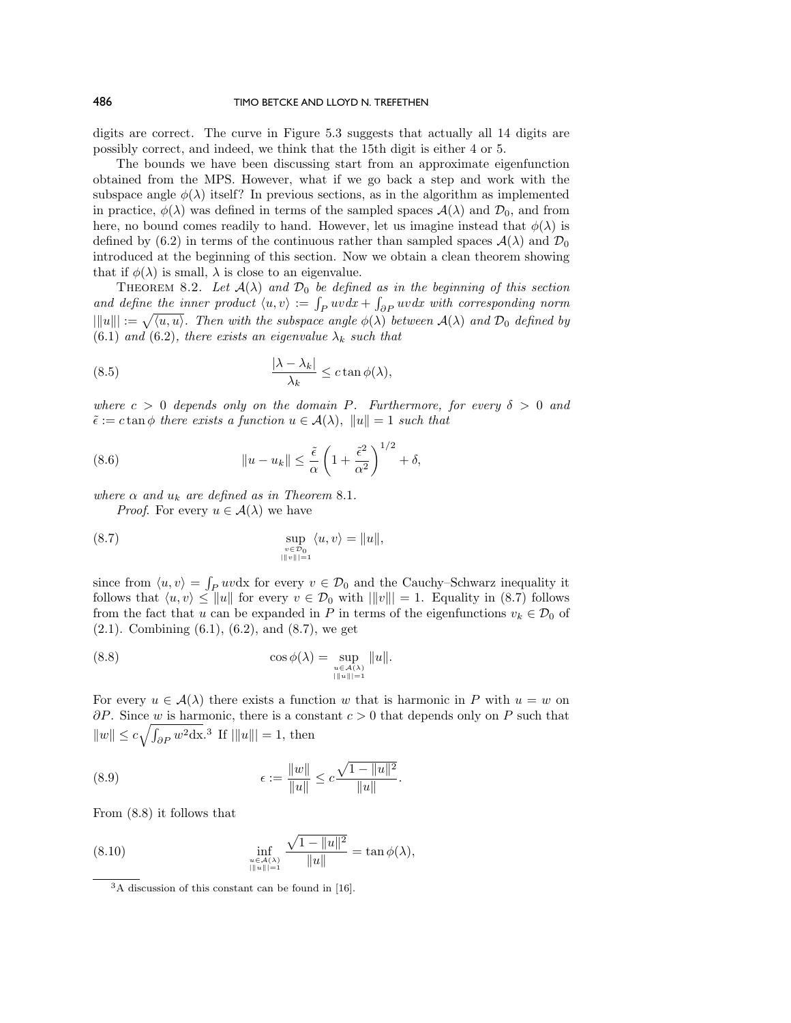### 486 TIMO BETCKE AND LLOYD N. TREFETHEN

digits are correct. The curve in Figure 5.3 suggests that actually all 14 digits are possibly correct, and indeed, we think that the 15th digit is either 4 or 5.

The bounds we have been discussing start from an approximate eigenfunction obtained from the MPS. However, what if we go back a step and work with the subspace angle  $\phi(\lambda)$  itself? In previous sections, as in the algorithm as implemented in practice,  $\phi(\lambda)$  was defined in terms of the sampled spaces  $\mathcal{A}(\lambda)$  and  $\mathcal{D}_0$ , and from here, no bound comes readily to hand. However, let us imagine instead that  $\phi(\lambda)$  is defined by (6.2) in terms of the continuous rather than sampled spaces  $\mathcal{A}(\lambda)$  and  $\mathcal{D}_0$ introduced at the beginning of this section. Now we obtain a clean theorem showing that if  $\phi(\lambda)$  is small,  $\lambda$  is close to an eigenvalue.

THEOREM 8.2. Let  $A(\lambda)$  and  $\mathcal{D}_0$  be defined as in the beginning of this section and define the inner product  $\langle u, v \rangle := \int_P uv dx + \int_{\partial P} uv dx$  with corresponding norm  $|||u||| := \sqrt{\langle u, u \rangle}$ . Then with the subspace angle  $\phi(\lambda)$  between  $\mathcal{A}(\lambda)$  and  $\mathcal{D}_0$  defined by (6.1) and (6.2), there exists an eigenvalue  $\lambda_k$  such that

(8.5) 
$$
\frac{|\lambda - \lambda_k|}{\lambda_k} \leq c \tan \phi(\lambda),
$$

where  $c > 0$  depends only on the domain P. Furthermore, for every  $\delta > 0$  and  $\tilde{\epsilon} := c \tan \phi$  there exists a function  $u \in \mathcal{A}(\lambda)$ ,  $||u|| = 1$  such that

(8.6) 
$$
\|u - u_k\| \leq \frac{\tilde{\epsilon}}{\alpha} \left(1 + \frac{\tilde{\epsilon}^2}{\alpha^2}\right)^{1/2} + \delta,
$$

where  $\alpha$  and  $u_k$  are defined as in Theorem 8.1.

*Proof.* For every  $u \in \mathcal{A}(\lambda)$  we have

(8.7) 
$$
\sup_{\substack{v \in \mathcal{D}_0 \\ ||v|| = 1}} \langle u, v \rangle = ||u||,
$$

since from  $\langle u, v \rangle = \int_P uv \, dx$  for every  $v \in \mathcal{D}_0$  and the Cauchy–Schwarz inequality it follows that  $\langle u, v \rangle \le ||u||$  for every  $v \in \mathcal{D}_0$  with  $|||v||| = 1$ . Equality in (8.7) follows from the fact that u can be expanded in P in terms of the eigenfunctions  $v_k \in \mathcal{D}_0$  of  $(2.1)$ . Combining  $(6.1)$ ,  $(6.2)$ , and  $(8.7)$ , we get

(8.8) 
$$
\cos \phi(\lambda) = \sup_{\substack{u \in \mathcal{A}(\lambda) \\ ||u|| = 1}} ||u||.
$$

For every  $u \in \mathcal{A}(\lambda)$  there exists a function w that is harmonic in P with  $u = w$  on  $\partial P$ . Since w is harmonic, there is a constant  $c > 0$  that depends only on P such that  $||w|| \leq c \sqrt{\int_{\partial P} w^2 dx}$ <sup>3</sup> If  $|||u||| = 1$ , then

(8.9) 
$$
\epsilon := \frac{\|w\|}{\|u\|} \le c \frac{\sqrt{1 - \|u\|^2}}{\|u\|}.
$$

From (8.8) it follows that

(8.10) 
$$
\inf_{\substack{u \in \mathcal{A}(\lambda) \\ ||u|| = 1}} \frac{\sqrt{1 - ||u||^2}}{||u||} = \tan \phi(\lambda),
$$

<sup>3</sup>A discussion of this constant can be found in [16].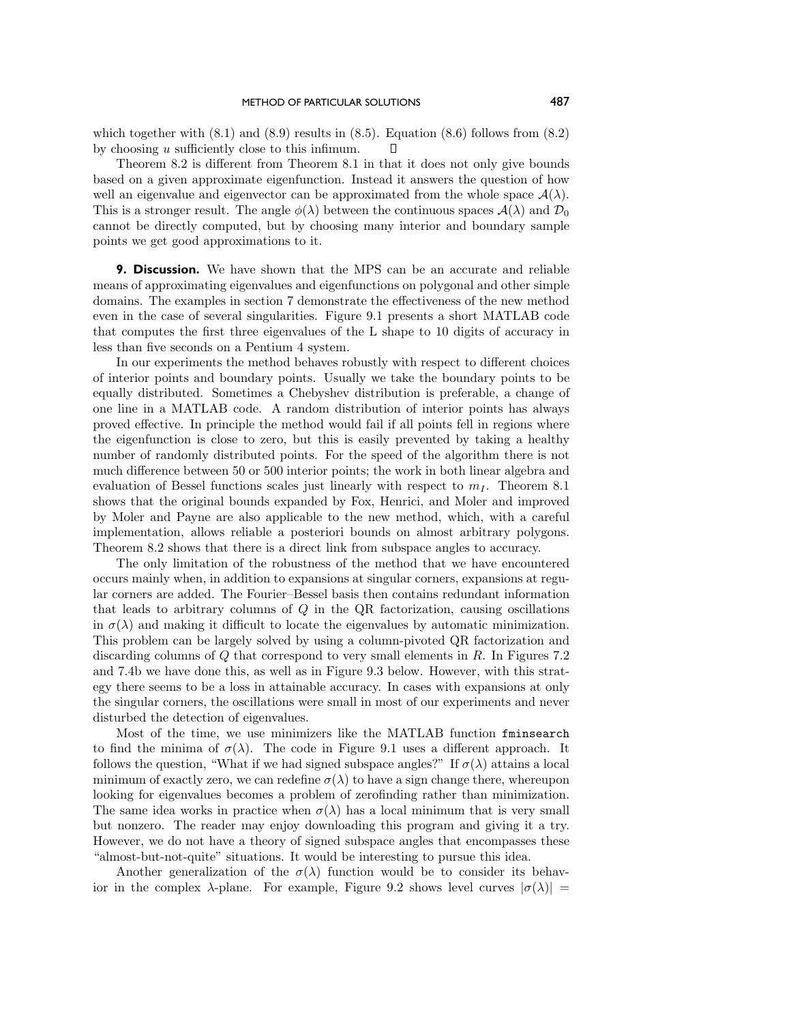which together with  $(8.1)$  and  $(8.9)$  results in  $(8.5)$ . Equation  $(8.6)$  follows from  $(8.2)$ by choosing u sufficiently close to this infimum.  $\Box$ 

Theorem 8.2 is different from Theorem 8.1 in that it does not only give bounds based on a given approximate eigenfunction. Instead it answers the question of how well an eigenvalue and eigenvector can be approximated from the whole space  $\mathcal{A}(\lambda)$ . This is a stronger result. The angle  $\phi(\lambda)$  between the continuous spaces  $\mathcal{A}(\lambda)$  and  $\mathcal{D}_0$ cannot be directly computed, but by choosing many interior and boundary sample points we get good approximations to it.

**9. Discussion.** We have shown that the MPS can be an accurate and reliable means of approximating eigenvalues and eigenfunctions on polygonal and other simple domains. The examples in section 7 demonstrate the effectiveness of the new method even in the case of several singularities. Figure 9.1 presents a short MATLAB code that computes the first three eigenvalues of the L shape to 10 digits of accuracy in less than five seconds on a Pentium 4 system.

In our experiments the method behaves robustly with respect to different choices of interior points and boundary points. Usually we take the boundary points to be equally distributed. Sometimes a Chebyshev distribution is preferable, a change of one line in a MATLAB code. A random distribution of interior points has always proved effective. In principle the method would fail if all points fell in regions where the eigenfunction is close to zero, but this is easily prevented by taking a healthy number of randomly distributed points. For the speed of the algorithm there is not much difference between 50 or 500 interior points; the work in both linear algebra and evaluation of Bessel functions scales just linearly with respect to  $m<sub>I</sub>$ . Theorem 8.1 shows that the original bounds expanded by Fox, Henrici, and Moler and improved by Moler and Payne are also applicable to the new method, which, with a careful implementation, allows reliable a posteriori bounds on almost arbitrary polygons. Theorem 8.2 shows that there is a direct link from subspace angles to accuracy.

The only limitation of the robustness of the method that we have encountered occurs mainly when, in addition to expansions at singular corners, expansions at regular corners are added. The Fourier–Bessel basis then contains redundant information that leads to arbitrary columns of Q in the QR factorization, causing oscillations in  $\sigma(\lambda)$  and making it difficult to locate the eigenvalues by automatic minimization. This problem can be largely solved by using a column-pivoted QR factorization and discarding columns of  $Q$  that correspond to very small elements in  $R$ . In Figures 7.2 and 7.4b we have done this, as well as in Figure 9.3 below. However, with this strategy there seems to be a loss in attainable accuracy. In cases with expansions at only the singular corners, the oscillations were small in most of our experiments and never disturbed the detection of eigenvalues.

Most of the time, we use minimizers like the MATLAB function fminsearch to find the minima of  $\sigma(\lambda)$ . The code in Figure 9.1 uses a different approach. It follows the question, "What if we had signed subspace angles?" If  $\sigma(\lambda)$  attains a local minimum of exactly zero, we can redefine  $\sigma(\lambda)$  to have a sign change there, whereupon looking for eigenvalues becomes a problem of zerofinding rather than minimization. The same idea works in practice when  $\sigma(\lambda)$  has a local minimum that is very small but nonzero. The reader may enjoy downloading this program and giving it a try. However, we do not have a theory of signed subspace angles that encompasses these "almost-but-not-quite" situations. It would be interesting to pursue this idea.

Another generalization of the  $\sigma(\lambda)$  function would be to consider its behavior in the complex  $\lambda$ -plane. For example, Figure 9.2 shows level curves  $|\sigma(\lambda)| =$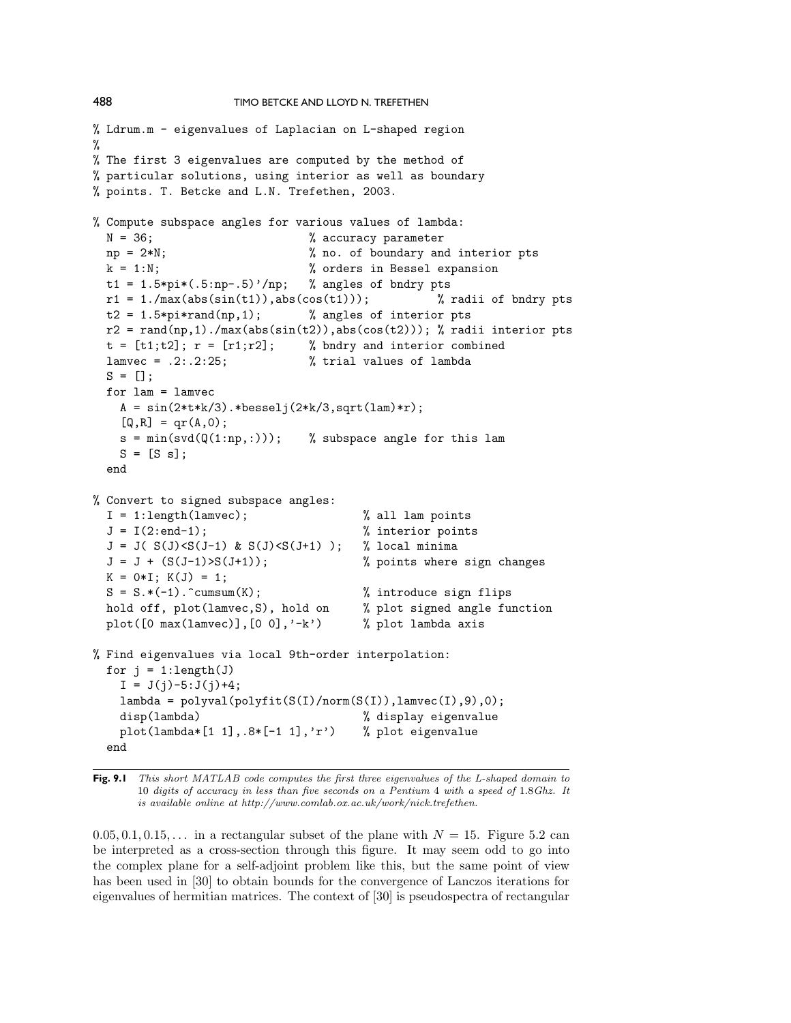```
488 TIMO BETCKE AND LLOYD N. TREFETHEN
% Ldrum.m - eigenvalues of Laplacian on L-shaped region
%
% The first 3 eigenvalues are computed by the method of
% particular solutions, using interior as well as boundary
% points. T. Betcke and L.N. Trefethen, 2003.
% Compute subspace angles for various values of lambda:
 N = 36; % accuracy parameter
 np = 2*N; \% no. of boundary and interior pts
 k = 1:N; % orders in Bessel expansion
 t1 = 1.5*pi*(.5:np-.5)'/np; % angles of bndry pts
 r1 = 1./max(abs(sin(t1)),abs(cos(t1))); % radii of bndry pts
 t2 = 1.5*pi*rand(np,1); % angles of interior pts
 r2 = rand(np,1)./max(abs(sin(t2)),abs(cos(t2))); % radii interior pts
 t = [t1;t2]; r = [r1;r2]; % bndry and interior combined
 lamvec = .2: .2:25; % trial values of lambda
 S = [];
 for lam = lamvec
   A = sin(2*t*k/3).*besselj(2*k/3,sqrt(lam)*r);[Q,R] = qr(A,0);s = min(svd(Q(1:np,:))); % subspace angle for this lam
   S = [S s];
 end
% Convert to signed subspace angles:
 I = 1:length(lamvec); % all lam points
 J = I(2:\text{end-1}); % interior points
 J = J(S(J) < S(J-1) \& S(J) < S(J+1) ); % local minima
 J = J + (S(J-1) > S(J+1)); % points where sign changes
 K = 0*I; K(J) = 1;
 S = S.*(-1). \text{cumsum}(K); % introduce sign flips
 hold off, plot(lamvec,S), hold on % plot signed angle function
 plot([0 \text{ max}(lamvec)], [0 \text{ 0}], ' - k') % plot lambda axis
% Find eigenvalues via local 9th-order interpolation:
 for j = 1: length(J)I = J(j)-5:J(j)+4;lambda = polyval(polyfit(S(I)/norm(S(I)),lamvec(I),9),0);disp(lambda) \% display eigenvalue
   plot(lambda*[1 1],.8*[-1 1],'r') % plot eigenvalue
 end
```
**Fig. 9.1** This short MATLAB code computes the first three eigenvalues of the L-shaped domain to 10 digits of accuracy in less than five seconds on a Pentium 4 with a speed of 1.8Ghz. It is available online at http://www.comlab.ox.ac.uk/work/nick.trefethen.

 $0.05, 0.1, 0.15,...$  in a rectangular subset of the plane with  $N = 15$ . Figure 5.2 can be interpreted as a cross-section through this figure. It may seem odd to go into the complex plane for a self-adjoint problem like this, but the same point of view has been used in [30] to obtain bounds for the convergence of Lanczos iterations for eigenvalues of hermitian matrices. The context of [30] is pseudospectra of rectangular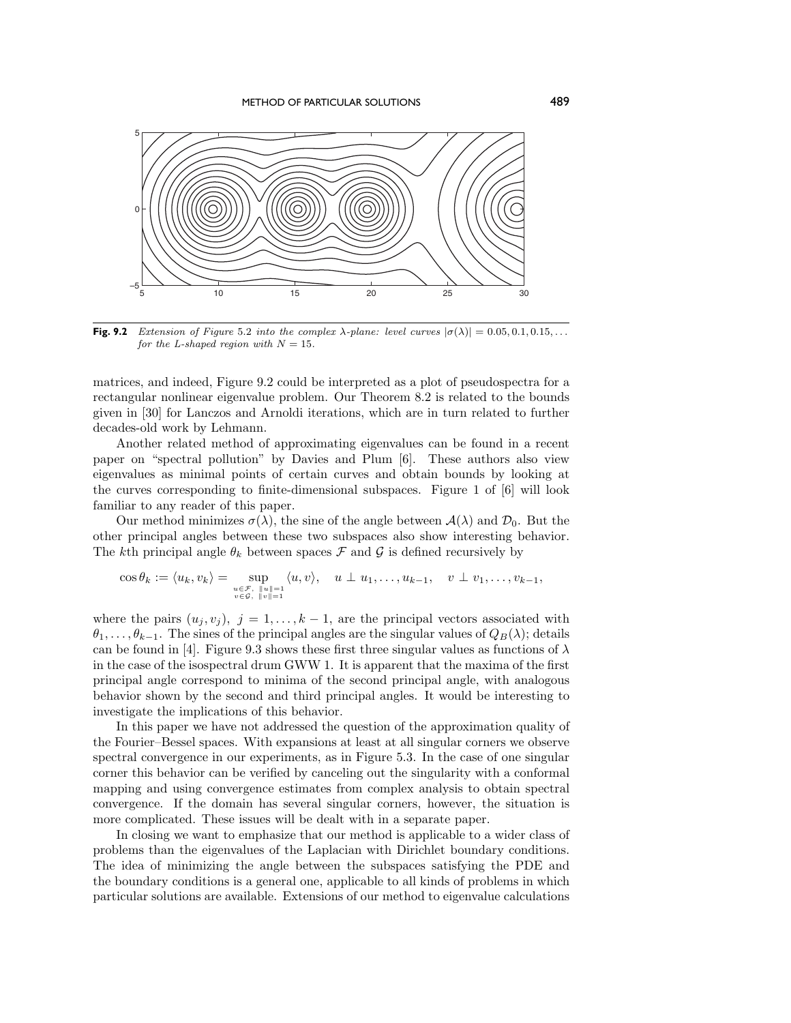

**Fig. 9.2** Extension of Figure 5.2 into the complex  $\lambda$ -plane: level curves  $|\sigma(\lambda)| = 0.05, 0.1, 0.15,...$ for the L-shaped region with  $N = 15$ .

matrices, and indeed, Figure 9.2 could be interpreted as a plot of pseudospectra for a rectangular nonlinear eigenvalue problem. Our Theorem 8.2 is related to the bounds given in [30] for Lanczos and Arnoldi iterations, which are in turn related to further decades-old work by Lehmann.

Another related method of approximating eigenvalues can be found in a recent paper on "spectral pollution" by Davies and Plum [6]. These authors also view eigenvalues as minimal points of certain curves and obtain bounds by looking at the curves corresponding to finite-dimensional subspaces. Figure 1 of [6] will look familiar to any reader of this paper.

Our method minimizes  $\sigma(\lambda)$ , the sine of the angle between  $\mathcal{A}(\lambda)$  and  $\mathcal{D}_0$ . But the other principal angles between these two subspaces also show interesting behavior. The kth principal angle  $\theta_k$  between spaces  $\mathcal F$  and  $\mathcal G$  is defined recursively by

$$
\cos \theta_k := \langle u_k, v_k \rangle = \sup_{\substack{u \in \mathcal{F}, \ \|u\|=1 \\ v \in \mathcal{G}, \ \|v\|=1}} \langle u, v \rangle, \quad u \perp u_1, \dots, u_{k-1}, \quad v \perp v_1, \dots, v_{k-1},
$$

where the pairs  $(u_i, v_j)$ ,  $j = 1, \ldots, k - 1$ , are the principal vectors associated with  $\theta_1,\ldots,\theta_{k-1}$ . The sines of the principal angles are the singular values of  $Q_B(\lambda)$ ; details can be found in [4]. Figure 9.3 shows these first three singular values as functions of  $\lambda$ in the case of the isospectral drum GWW 1. It is apparent that the maxima of the first principal angle correspond to minima of the second principal angle, with analogous behavior shown by the second and third principal angles. It would be interesting to investigate the implications of this behavior.

In this paper we have not addressed the question of the approximation quality of the Fourier–Bessel spaces. With expansions at least at all singular corners we observe spectral convergence in our experiments, as in Figure 5.3. In the case of one singular corner this behavior can be verified by canceling out the singularity with a conformal mapping and using convergence estimates from complex analysis to obtain spectral convergence. If the domain has several singular corners, however, the situation is more complicated. These issues will be dealt with in a separate paper.

In closing we want to emphasize that our method is applicable to a wider class of problems than the eigenvalues of the Laplacian with Dirichlet boundary conditions. The idea of minimizing the angle between the subspaces satisfying the PDE and the boundary conditions is a general one, applicable to all kinds of problems in which particular solutions are available. Extensions of our method to eigenvalue calculations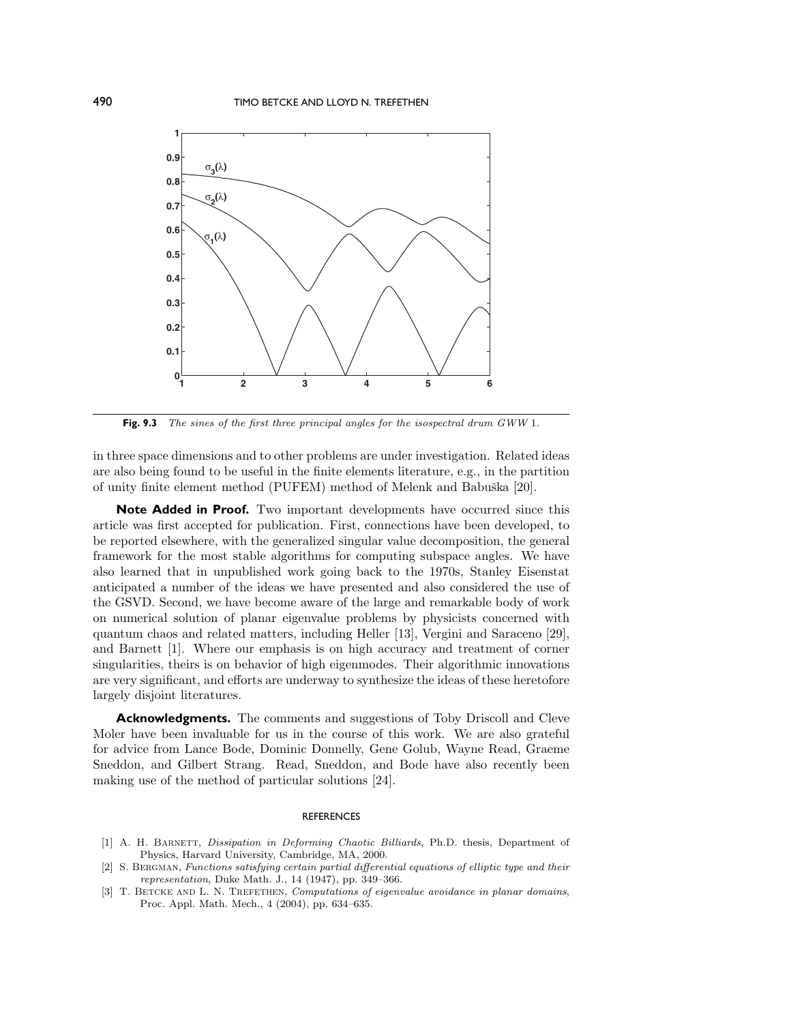

**Fig. 9.3** The sines of the first three principal angles for the isospectral drum GWW 1.

in three space dimensions and to other problems are under investigation. Related ideas are also being found to be useful in the finite elements literature, e.g., in the partition of unity finite element method (PUFEM) method of Melenk and Babuška [20].

**Note Added in Proof.** Two important developments have occurred since this article was first accepted for publication. First, connections have been developed, to be reported elsewhere, with the generalized singular value decomposition, the general framework for the most stable algorithms for computing subspace angles. We have also learned that in unpublished work going back to the 1970s, Stanley Eisenstat anticipated a number of the ideas we have presented and also considered the use of the GSVD. Second, we have become aware of the large and remarkable body of work on numerical solution of planar eigenvalue problems by physicists concerned with quantum chaos and related matters, including Heller [13], Vergini and Saraceno [29], and Barnett [1]. Where our emphasis is on high accuracy and treatment of corner singularities, theirs is on behavior of high eigenmodes. Their algorithmic innovations are very significant, and efforts are underway to synthesize the ideas of these heretofore largely disjoint literatures.

**Acknowledgments.** The comments and suggestions of Toby Driscoll and Cleve Moler have been invaluable for us in the course of this work. We are also grateful for advice from Lance Bode, Dominic Donnelly, Gene Golub, Wayne Read, Graeme Sneddon, and Gilbert Strang. Read, Sneddon, and Bode have also recently been making use of the method of particular solutions [24].

#### **REFERENCES**

- [1] A. H. BARNETT, *Dissipation in Deforming Chaotic Billiards*, Ph.D. thesis, Department of Physics, Harvard University, Cambridge, MA, 2000.
- [2] S. Bergman, Functions satisfying certain partial differential equations of elliptic type and their representation, Duke Math. J., 14 (1947), pp. 349–366.
- [3] T. BETCKE AND L. N. TREFETHEN, Computations of eigenvalue avoidance in planar domains, Proc. Appl. Math. Mech., 4 (2004), pp. 634–635.